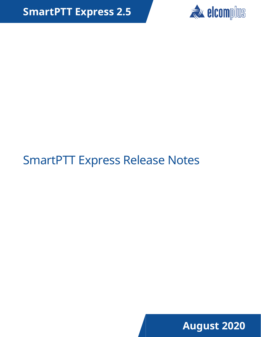

# SmartPTT Express Release Notes

**August 2020**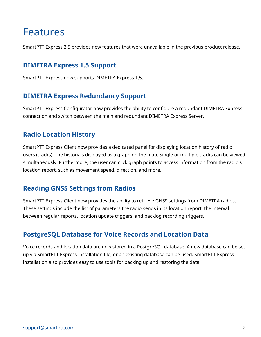### Features

SmartPTT Express 2.5 provides new features that were unavailable in the previous product release.

#### **DIMETRA Express 1.5 Support**

SmartPTT Express now supports DIMETRA Express 1.5.

#### **DIMETRA Express Redundancy Support**

SmartPTT Express Configurator now provides the ability to configure a redundant DIMETRA Express connection and switch between the main and redundant DIMETRA Express Server.

#### **Radio Location History**

SmartPTT Express Client now provides a dedicated panel for displaying location history of radio users (tracks). The history is displayed as a graph on the map. Single or multiple tracks can be viewed simultaneously. Furthermore, the user can click graph points to access information from the radio's location report, such as movement speed, direction, and more.

#### **Reading GNSS Settings from Radios**

SmartPTT Express Client now provides the ability to retrieve GNSS settings from DIMETRA radios. These settings include the list of parameters the radio sends in its location report, the interval between regular reports, location update triggers, and backlog recording triggers.

#### **PostgreSQL Database for Voice Records and Location Data**

Voice records and location data are now stored in a PostgreSQL database. A new database can be set up via SmartPTT Express installation file, or an existing database can be used. SmartPTT Express installation also provides easy to use tools for backing up and restoring the data.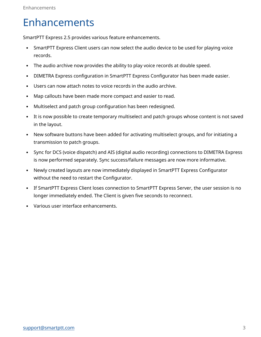### Enhancements

SmartPTT Express 2.5 provides various feature enhancements.

- SmartPTT Express Client users can now select the audio device to be used for playing voice records.
- The audio archive now provides the ability to play voice records at double speed.
- DIMETRA Express configuration in SmartPTT Express Configurator has been made easier.
- Users can now attach notes to voice records in the audio archive.
- Map callouts have been made more compact and easier to read.
- Multiselect and patch group configuration has been redesigned.
- It is now possible to create temporary multiselect and patch groups whose content is not saved in the layout.
- New software buttons have been added for activating multiselect groups, and for initiating a transmission to patch groups.
- Sync for DCS (voice dispatch) and AIS (digital audio recording) connections to DIMETRA Express is now performed separately. Sync success/failure messages are now more informative.
- Newly created layouts are now immediately displayed in SmartPTT Express Configurator without the need to restart the Configurator.
- If SmartPTT Express Client loses connection to SmartPTT Express Server, the user session is no longer immediately ended. The Client is given five seconds to reconnect.
- Various user interface enhancements.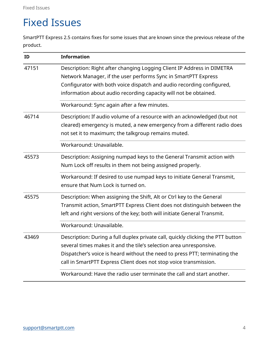## Fixed Issues

SmartPTT Express 2.5 contains fixes for some issues that are known since the previous release of the product.

| ID    | <b>Information</b>                                                              |
|-------|---------------------------------------------------------------------------------|
| 47151 | Description: Right after changing Logging Client IP Address in DIMETRA          |
|       | Network Manager, if the user performs Sync in SmartPTT Express                  |
|       | Configurator with both voice dispatch and audio recording configured,           |
|       | information about audio recording capacity will not be obtained.                |
|       | Workaround: Sync again after a few minutes.                                     |
| 46714 | Description: If audio volume of a resource with an acknowledged (but not        |
|       | cleared) emergency is muted, a new emergency from a different radio does        |
|       | not set it to maximum; the talkgroup remains muted.                             |
|       | Workaround: Unavailable.                                                        |
| 45573 | Description: Assigning numpad keys to the General Transmit action with          |
|       | Num Lock off results in them not being assigned properly.                       |
|       | Workaround: If desired to use numpad keys to initiate General Transmit,         |
|       | ensure that Num Lock is turned on.                                              |
| 45575 | Description: When assigning the Shift, Alt or Ctrl key to the General           |
|       | Transmit action, SmartPTT Express Client does not distinguish between the       |
|       | left and right versions of the key; both will initiate General Transmit.        |
|       | Workaround: Unavailable.                                                        |
| 43469 | Description: During a full duplex private call, quickly clicking the PTT button |
|       | several times makes it and the tile's selection area unresponsive.              |
|       | Dispatcher's voice is heard without the need to press PTT; terminating the      |
|       | call in SmartPTT Express Client does not stop voice transmission.               |
|       | Workaround: Have the radio user terminate the call and start another.           |